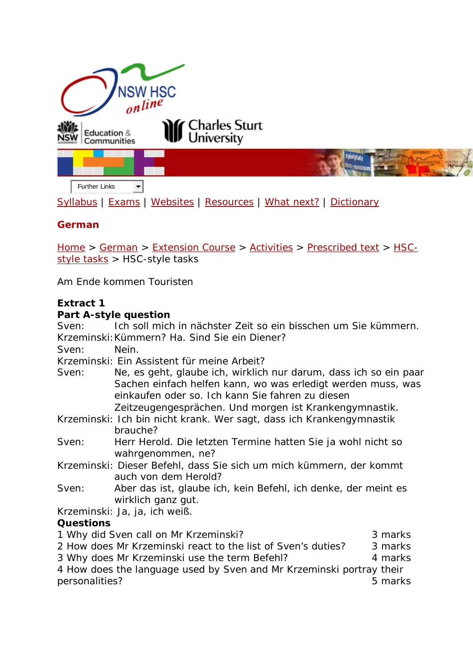

[Syllabus](http://www.boardofstudies.nsw.edu.au/syllabus_hsc/) | [Exams](http://www.boardofstudies.nsw.edu.au/hsc_exams/) | [Websites](http://www.hsc.csu.edu.au/german/websites/4262/german_websites.htm) | [Resources](http://www.hsc.csu.edu.au/german/resources/2367/index.htm) | [What next?](http://www.hsc.csu.edu.au/german/what_next/2369/index.html) | [Dictionary](http://www.hsc.csu.edu.au/german/dictionary/2370/index.htm)

# **German**

[Home](http://www.hsc.csu.edu.au/) > [German](http://www.hsc.csu.edu.au/german/) > [Extension Course](http://www.hsc.csu.edu.au/german/#112077) > [Activities](http://www.hsc.csu.edu.au/german/#112080) > Prescribed text > [HSC](http://www.hsc.csu.edu.au/german/extension/activities/prescribed/tasks/)[style tasks](http://www.hsc.csu.edu.au/german/extension/activities/prescribed/tasks/) > HSC-style tasks

Am Ende kommen Touristen

## **Extract 1**

#### **Part A-style question**

Sven: *Ich soll mich in nächster Zeit so ein bisschen um Sie kümmern.*  Krzeminski:*Kümmern? Ha. Sind Sie ein Diener?*  Sven: *Nein.*  Krzeminski: *Ein Assistent für meine Arbeit?*  Sven: *Ne, es geht, glaube ich, wirklich nur darum, dass ich so ein paar Sachen einfach helfen kann, wo was erledigt werden muss, was einkaufen oder so. Ich kann Sie fahren zu diesen Zeitzeugengesprächen. Und morgen ist Krankengymnastik.*  Krzeminski: *Ich bin nicht krank. Wer sagt, dass ich Krankengymnastik brauche?*  Sven: *Herr Herold. Die letzten Termine hatten Sie ja wohl nicht so wahrgenommen, ne?*  Krzeminski: *Dieser Befehl, dass Sie sich um mich kümmern, der kommt auch von dem Herold?*  Sven: *Aber das ist, glaube ich, kein Befehl, ich denke, der meint es wirklich ganz gut.*  Krzeminski: *Ja, ja, ich weiß. Questions*  1 Why did Sven call on Mr Krzeminski? 3 marks 2 How does Mr Krzeminski react to the list of Sven's duties? 3 marks 3 Why does Mr Krzeminski use the term *Befehl*? 4 marks

4 How does the language used by Sven and Mr Krzeminski portray their personalities? 5 marks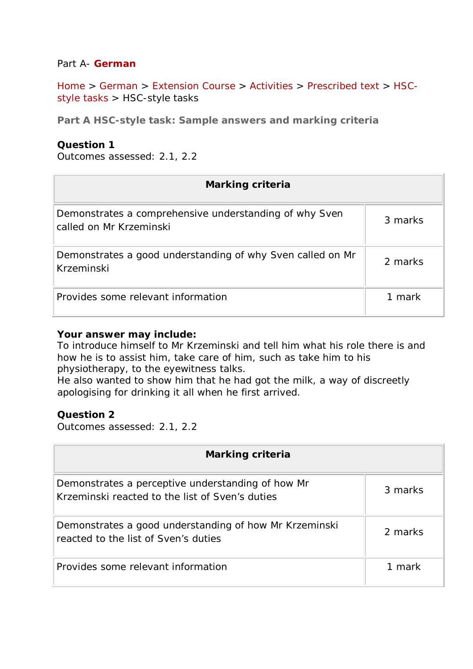### Part A- **German**

[Home](http://www.hsc.csu.edu.au/) > [German](http://www.hsc.csu.edu.au/german/) > [Extension Course](http://www.hsc.csu.edu.au/german/#112077) > [Activities](http://www.hsc.csu.edu.au/german/#112080) > [Prescribed text](http://www.hsc.csu.edu.au/german/#112088) > [HSC](http://www.hsc.csu.edu.au/german/extension/activities/prescribed/tasks/)[style tasks](http://www.hsc.csu.edu.au/german/extension/activities/prescribed/tasks/) > HSC-style tasks

**Part A HSC-style task: Sample answers and marking criteria**

#### **Question 1**

Outcomes assessed: 2.1, 2.2

| Marking criteria                                                                  |         |
|-----------------------------------------------------------------------------------|---------|
| Demonstrates a comprehensive understanding of why Sven<br>called on Mr Krzeminski | 3 marks |
| Demonstrates a good understanding of why Sven called on Mr<br>Krzeminski          | 2 marks |
| Provides some relevant information                                                | 1 mark  |

#### **Your answer may include:**

*To introduce himself to Mr Krzeminski and tell him what his role there is and how he is to assist him, take care of him, such as take him to his physiotherapy, to the eyewitness talks. He also wanted to show him that he had got the milk, a way of discreetly apologising for drinking it all when he first arrived.*

#### **Question 2**

Outcomes assessed: 2.1, 2.2

| Marking criteria                                                                                     |         |
|------------------------------------------------------------------------------------------------------|---------|
| Demonstrates a perceptive understanding of how Mr<br>Krzeminski reacted to the list of Sven's duties | 3 marks |
| Demonstrates a good understanding of how Mr Krzeminski<br>reacted to the list of Sven's duties       | 2 marks |
| Provides some relevant information                                                                   | 1 mark  |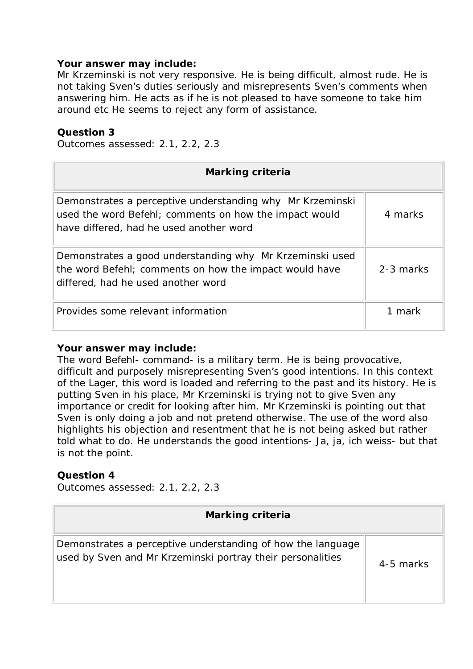#### **Your answer may include:**

*Mr Krzeminski is not very responsive. He is being difficult, almost rude. He is not taking Sven's duties seriously and misrepresents Sven's comments when answering him. He acts as if he is not pleased to have someone to take him around etc He seems to reject any form of assistance.*

### **Question 3**

Outcomes assessed: 2.1, 2.2, 2.3

| Marking criteria                                                                                                                                               |           |
|----------------------------------------------------------------------------------------------------------------------------------------------------------------|-----------|
| Demonstrates a perceptive understanding why Mr Krzeminski<br>used the word Befehl; comments on how the impact would<br>have differed, had he used another word | 4 marks   |
| Demonstrates a good understanding why Mr Krzeminski used<br>the word Befehl; comments on how the impact would have<br>differed, had he used another word       | 2-3 marks |
| Provides some relevant information                                                                                                                             | 1 mark    |

#### **Your answer may include:**

*The word Befehl- command- is a military term. He is being provocative, difficult and purposely misrepresenting Sven's good intentions. In this context of the Lager, this word is loaded and referring to the past and its history. He is putting Sven in his place, Mr* Krzeminski is trying not to give Sven any importance or credit for looking after him. Mr Krzeminski is pointing out that Sven is only doing a job and not pretend otherwise. *The use of the word also highlights his objection and resentment that he is not being asked but rather told what to do. He understands the good intentions- Ja, ja, ich weiss- but that is not the point.*

## **Question 4**

Outcomes assessed: 2.1, 2.2, 2.3

| <b>Marking criteria</b>                                                                                                   |           |
|---------------------------------------------------------------------------------------------------------------------------|-----------|
| Demonstrates a perceptive understanding of how the language<br>used by Sven and Mr Krzeminski portray their personalities | 4-5 marks |